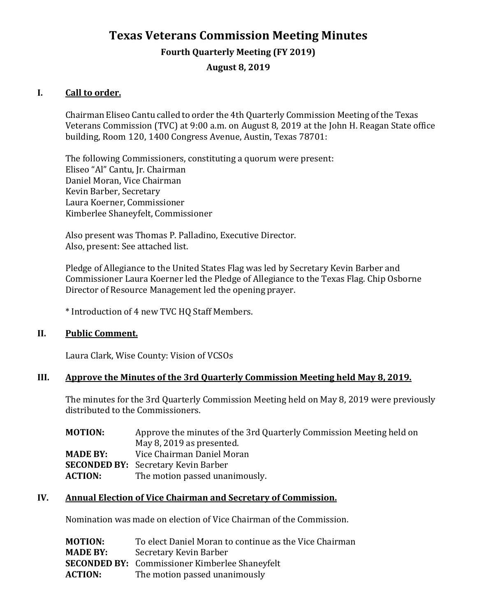# **Texas Veterans Commission Meeting Minutes**

#### **Fourth Quarterly Meeting (FY 2019)**

**August 8, 2019**

#### **I. Call to order.**

Chairman Eliseo Cantu called to order the 4th Quarterly Commission Meeting of the Texas Veterans Commission (TVC) at 9:00 a.m. on August 8, 2019 at the John H. Reagan State office building, Room 120, 1400 Congress Avenue, Austin, Texas 78701:

The following Commissioners, constituting a quorum were present: Eliseo "Al" Cantu, Jr. Chairman Daniel Moran, Vice Chairman Kevin Barber, Secretary Laura Koerner, Commissioner Kimberlee Shaneyfelt, Commissioner

Also present was Thomas P. Palladino, Executive Director. Also, present: See attached list.

Pledge of Allegiance to the United States Flag was led by Secretary Kevin Barber and Commissioner Laura Koerner led the Pledge of Allegiance to the Texas Flag. Chip Osborne Director of Resource Management led the opening prayer.

\* Introduction of 4 new TVC HQ Staff Members.

#### **II. Public Comment.**

Laura Clark, Wise County: Vision of VCSOs

#### **III. Approve the Minutes of the 3rd Quarterly Commission Meeting held May 8, 2019.**

The minutes for the 3rd Quarterly Commission Meeting held on May 8, 2019 were previously distributed to the Commissioners.

| <b>MOTION:</b>  | Approve the minutes of the 3rd Quarterly Commission Meeting held on |
|-----------------|---------------------------------------------------------------------|
|                 | May 8, 2019 as presented.                                           |
| <b>MADE BY:</b> | Vice Chairman Daniel Moran                                          |
|                 | <b>SECONDED BY:</b> Secretary Kevin Barber                          |
| <b>ACTION:</b>  | The motion passed unanimously.                                      |

### **IV. Annual Election of Vice Chairman and Secretary of Commission.**

Nomination was made on election of Vice Chairman of the Commission.

| <b>MOTION:</b>  | To elect Daniel Moran to continue as the Vice Chairman |
|-----------------|--------------------------------------------------------|
| <b>MADE BY:</b> | Secretary Kevin Barber                                 |
|                 | <b>SECONDED BY:</b> Commissioner Kimberlee Shaneyfelt  |
| <b>ACTION:</b>  | The motion passed unanimously                          |
|                 |                                                        |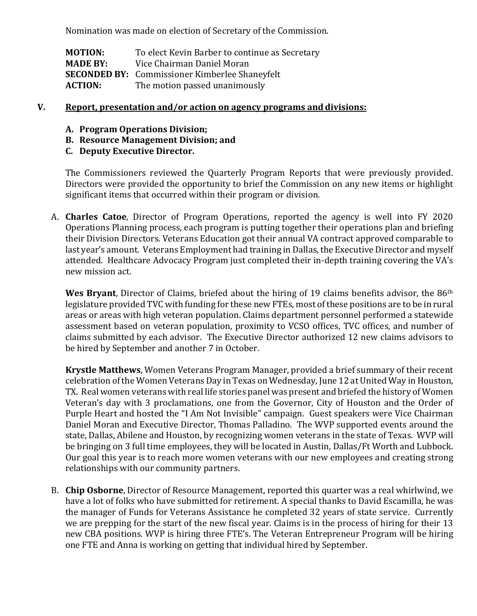Nomination was made on election of Secretary of the Commission.

**MOTION:** To elect Kevin Barber to continue as Secretary<br> **MADE BY:** Vice Chairman Daniel Moran **MADE BY:** Vice Chairman Daniel Moran **SECONDED BY:** Commissioner Kimberlee Shaneyfelt<br>**ACTION:** The motion passed unanimously The motion passed unanimously

#### **V. Report, presentation and/or action on agency programs and divisions:**

- **A. Program Operations Division;**
- **B. Resource Management Division; and**
- **C. Deputy Executive Director.**

The Commissioners reviewed the Quarterly Program Reports that were previously provided. Directors were provided the opportunity to brief the Commission on any new items or highlight significant items that occurred within their program or division.

A. **Charles Catoe**, Director of Program Operations, reported the agency is well into FY 2020 Operations Planning process, each program is putting together their operations plan and briefing their Division Directors. Veterans Education got their annual VA contract approved comparable to last year's amount. Veterans Employment had training in Dallas, the Executive Director and myself attended. Healthcare Advocacy Program just completed their in-depth training covering the VA's new mission act.

Wes Bryant, Director of Claims, briefed about the hiring of 19 claims benefits advisor, the 86<sup>th</sup> legislature provided TVC with funding for these new FTEs, most of these positions are to be in rural areas or areas with high veteran population. Claims department personnel performed a statewide assessment based on veteran population, proximity to VCSO offices, TVC offices, and number of claims submitted by each advisor. The Executive Director authorized 12 new claims advisors to be hired by September and another 7 in October.

**Krystle Matthews**, Women Veterans Program Manager, provided a brief summary of their recent celebration of the Women Veterans Day in Texas on Wednesday, June 12 at United Way in Houston, TX. Real women veterans with real life stories panel was present and briefed the history of Women Veteran's day with 3 proclamations, one from the Governor, City of Houston and the Order of Purple Heart and hosted the "I Am Not Invisible" campaign. Guest speakers were Vice Chairman Daniel Moran and Executive Director, Thomas Palladino. The WVP supported events around the state, Dallas, Abilene and Houston, by recognizing women veterans in the state of Texas. WVP will be bringing on 3 full time employees, they will be located in Austin, Dallas/Ft Worth and Lubbock. Our goal this year is to reach more women veterans with our new employees and creating strong relationships with our community partners.

B. **Chip Osborne**, Director of Resource Management, reported this quarter was a real whirlwind, we have a lot of folks who have submitted for retirement. A special thanks to David Escamilla, he was the manager of Funds for Veterans Assistance he completed 32 years of state service. Currently we are prepping for the start of the new fiscal year. Claims is in the process of hiring for their 13 new CBA positions. WVP is hiring three FTE's. The Veteran Entrepreneur Program will be hiring one FTE and Anna is working on getting that individual hired by September.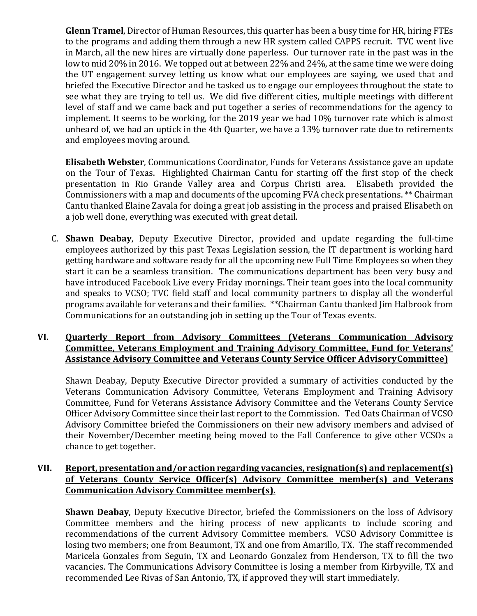**Glenn Tramel**, Director of Human Resources, this quarter has been a busy time for HR, hiring FTEs to the programs and adding them through a new HR system called CAPPS recruit. TVC went live in March, all the new hires are virtually done paperless. Our turnover rate in the past was in the low to mid 20% in 2016. We topped out at between 22% and 24%, at the same time we were doing the UT engagement survey letting us know what our employees are saying, we used that and briefed the Executive Director and he tasked us to engage our employees throughout the state to see what they are trying to tell us. We did five different cities, multiple meetings with different level of staff and we came back and put together a series of recommendations for the agency to implement. It seems to be working, for the 2019 year we had 10% turnover rate which is almost unheard of, we had an uptick in the 4th Quarter, we have a 13% turnover rate due to retirements and employees moving around.

**Elisabeth Webster**, Communications Coordinator, Funds for Veterans Assistance gave an update on the Tour of Texas. Highlighted Chairman Cantu for starting off the first stop of the check presentation in Rio Grande Valley area and Corpus Christi area. Elisabeth provided the Commissioners with a map and documents of the upcoming FVA check presentations. \*\* Chairman Cantu thanked Elaine Zavala for doing a great job assisting in the process and praised Elisabeth on a job well done, everything was executed with great detail.

C. **Shawn Deabay**, Deputy Executive Director, provided and update regarding the full-time employees authorized by this past Texas Legislation session, the IT department is working hard getting hardware and software ready for all the upcoming new Full Time Employees so when they start it can be a seamless transition. The communications department has been very busy and have introduced Facebook Live every Friday mornings. Their team goes into the local community and speaks to VCSO; TVC field staff and local community partners to display all the wonderful programs available for veterans and their families. \*\*Chairman Cantu thanked Jim Halbrook from Communications for an outstanding job in setting up the Tour of Texas events.

### **VI. Quarterly Report from Advisory Committees (Veterans Communication Advisory Committee, Veterans Employment and Training Advisory Committee, Fund for Veterans' Assistance Advisory Committee and Veterans County Service Officer AdvisoryCommittee)**

Shawn Deabay, Deputy Executive Director provided a summary of activities conducted by the Veterans Communication Advisory Committee, Veterans Employment and Training Advisory Committee, Fund for Veterans Assistance Advisory Committee and the Veterans County Service Officer Advisory Committee since their last report to the Commission. Ted Oats Chairman of VCSO Advisory Committee briefed the Commissioners on their new advisory members and advised of their November/December meeting being moved to the Fall Conference to give other VCSOs a chance to get together.

### **VII. Report, presentation and/or action regarding vacancies, resignation(s) and replacement(s) of Veterans County Service Officer(s) Advisory Committee member(s) and Veterans Communication Advisory Committee member(s).**

**Shawn Deabay**, Deputy Executive Director, briefed the Commissioners on the loss of Advisory Committee members and the hiring process of new applicants to include scoring and recommendations of the current Advisory Committee members. VCSO Advisory Committee is losing two members; one from Beaumont, TX and one from Amarillo, TX. The staff recommended Maricela Gonzales from Seguin, TX and Leonardo Gonzalez from Henderson, TX to fill the two vacancies. The Communications Advisory Committee is losing a member from Kirbyville, TX and recommended Lee Rivas of San Antonio, TX, if approved they will start immediately.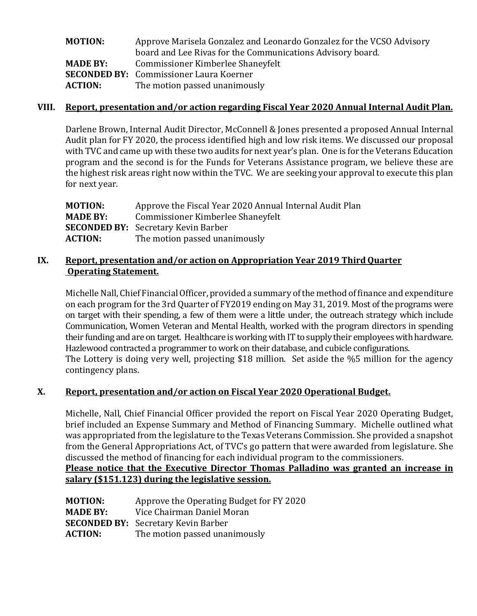| <b>MOTION:</b>  | Approve Marisela Gonzalez and Leonardo Gonzalez for the VCSO Advisory |
|-----------------|-----------------------------------------------------------------------|
|                 | board and Lee Rivas for the Communications Advisory board.            |
| <b>MADE BY:</b> | Commissioner Kimberlee Shaneyfelt                                     |
|                 | <b>SECONDED BY:</b> Commissioner Laura Koerner                        |
| <b>ACTION:</b>  | The motion passed unanimously                                         |

#### **VIII. Report, presentation and/or action regarding Fiscal Year 2020 Annual Internal Audit Plan.**

Darlene Brown, Internal Audit Director, McConnell & Jones presented a proposed Annual Internal Audit plan for FY 2020, the process identified high and low risk items. We discussed our proposal with TVC and came up with these two audits for next year's plan. One is for the Veterans Education program and the second is for the Funds for Veterans Assistance program, we believe these are the highest risk areas right now within the TVC. We are seeking your approval to execute this plan for next year.

| MOTION:         | Approve the Fiscal Year 2020 Annual Internal Audit Plan |
|-----------------|---------------------------------------------------------|
| <b>MADE BY:</b> | Commissioner Kimberlee Shaneyfelt                       |
|                 | <b>SECONDED BY:</b> Secretary Kevin Barber              |
| <b>ACTION:</b>  | The motion passed unanimously                           |
|                 |                                                         |

### **IX.** Report, presentation and/or action on Appropriation Year 2019 Third Quarter **Operating Statement.**

Michelle Nall, Chief Financial Officer, provided a summary of the method of finance and expenditure on each program for the 3rd Quarter of FY2019 ending on May 31, 2019. Most of the programs were on target with their spending, a few of them were a little under, the outreach strategy which include Communication, Women Veteran and Mental Health, worked with the program directors in spending their funding and are on target. Healthcare is working with IT to supply their employees with hardware. Hazlewood contracted a programmer to work on their database, and cubicle configurations. The Lottery is doing very well, projecting \$18 million. Set aside the %5 million for the agency contingency plans.

### **X. Report, presentation and/or action on Fiscal Year 2020 Operational Budget.**

Michelle, Nall, Chief Financial Officer provided the report on Fiscal Year 2020 Operating Budget, brief included an Expense Summary and Method of Financing Summary. Michelle outlined what was appropriated from the legislature to the Texas Veterans Commission. She provided a snapshot from the General Appropriations Act, of TVC's go pattern that were awarded from legislature. She discussed the method of financing for each individual program to the commissioners.

### **Please notice that the Executive Director Thomas Palladino was granted an increase in salary (\$151.123) during the legislative session.**

| <b>MOTION:</b>  | Approve the Operating Budget for FY 2020   |
|-----------------|--------------------------------------------|
| <b>MADE BY:</b> | Vice Chairman Daniel Moran                 |
|                 | <b>SECONDED BY:</b> Secretary Kevin Barber |
| <b>ACTION:</b>  | The motion passed unanimously              |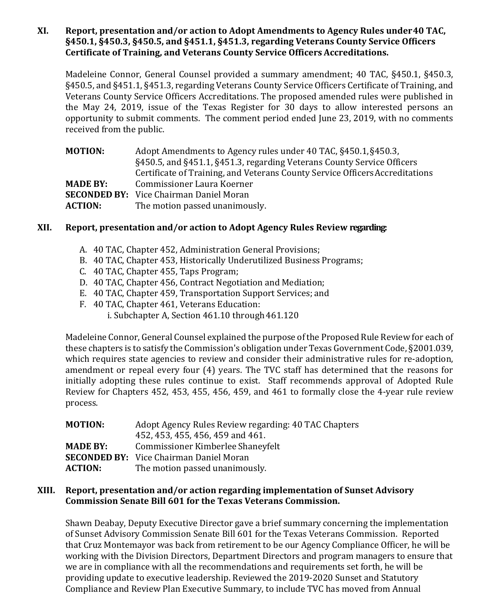### **XI. Report, presentation and/or action to Adopt Amendments to Agency Rules under40 TAC, §450.1, §450.3, §450.5, and §451.1, §451.3, regarding Veterans County Service Officers Certificate of Training, and Veterans County Service Officers Accreditations.**

Madeleine Connor, General Counsel provided a summary amendment; 40 TAC, §450.1, §450.3, §450.5, and §451.1, §451.3, regarding Veterans County Service Officers Certificate of Training, and Veterans County Service Officers Accreditations. The proposed amended rules were published in the May 24, 2019, issue of the Texas Register for 30 days to allow interested persons an opportunity to submit comments. The comment period ended June 23, 2019, with no comments received from the public.

| Certificate of Training, and Veterans County Service Officers Accreditations |
|------------------------------------------------------------------------------|
|                                                                              |
|                                                                              |
|                                                                              |
|                                                                              |

### **XII. Report, presentation and/or action to Adopt Agency Rules Review regarding:**

- A. 40 TAC, Chapter 452, Administration General Provisions;
- B. 40 TAC, Chapter 453, Historically Underutilized Business Programs;
- C. 40 TAC, Chapter 455, Taps Program;
- D. 40 TAC, Chapter 456, Contract Negotiation and Mediation;
- E. 40 TAC, Chapter 459, Transportation Support Services; and
- F. 40 TAC, Chapter 461, Veterans Education:
	- i. Subchapter A, Section  $461.10$  through  $461.120$

Madeleine Connor, General Counsel explained the purpose of the Proposed Rule Review for each of these chapters is to satisfy the Commission's obligation under Texas Government Code, §2001.039, which requires state agencies to review and consider their administrative rules for re-adoption, amendment or repeal every four (4) years. The TVC staff has determined that the reasons for initially adopting these rules continue to exist. Staff recommends approval of Adopted Rule Review for Chapters 452, 453, 455, 456, 459, and 461 to formally close the 4-year rule review process.

| Adopt Agency Rules Review regarding: 40 TAC Chapters |
|------------------------------------------------------|
|                                                      |
|                                                      |
|                                                      |
|                                                      |
|                                                      |

### **XIII. Report, presentation and/or action regarding implementation of Sunset Advisory Commission Senate Bill 601 for the Texas Veterans Commission.**

Shawn Deabay, Deputy Executive Director gave a brief summary concerning the implementation of Sunset Advisory Commission Senate Bill 601 for the Texas Veterans Commission. Reported that Cruz Montemayor was back from retirement to be our Agency Compliance Officer, he will be working with the Division Directors, Department Directors and program managers to ensure that we are in compliance with all the recommendations and requirements set forth, he will be providing update to executive leadership. Reviewed the 2019-2020 Sunset and Statutory Compliance and Review Plan Executive Summary, to include TVC has moved from Annual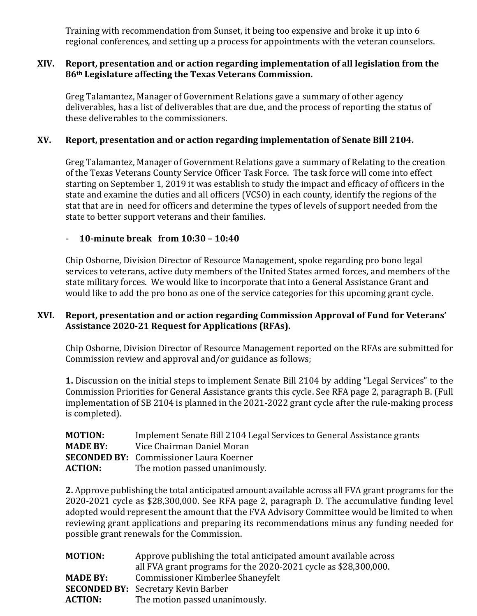Training with recommendation from Sunset, it being too expensive and broke it up into 6 regional conferences, and setting up a process for appointments with the veteran counselors.

### **XIV. Report, presentation and or action regarding implementation of all legislation from the 86th Legislature affecting the Texas Veterans Commission.**

Greg Talamantez, Manager of Government Relations gave a summary of other agency deliverables, has a list of deliverables that are due, and the process of reporting the status of these deliverables to the commissioners.

### **XV. Report, presentation and or action regarding implementation of Senate Bill 2104.**

Greg Talamantez, Manager of Government Relations gave a summary of Relating to the creation of the Texas Veterans County Service Officer Task Force. The task force will come into effect starting on September 1, 2019 it was establish to study the impact and efficacy of officers in the state and examine the duties and all officers (VCSO) in each county, identify the regions of the stat that are in need for officers and determine the types of levels of support needed from the state to better support veterans and their families.

### - **10-minute break from 10:30 – 10:40**

Chip Osborne, Division Director of Resource Management, spoke regarding pro bono legal services to veterans, active duty members of the United States armed forces, and members of the state military forces. We would like to incorporate that into a General Assistance Grant and would like to add the pro bono as one of the service categories for this upcoming grant cycle.

### **XVI. Report, presentation and or action regarding Commission Approval of Fund for Veterans' Assistance 2020-21 Request for Applications (RFAs).**

Chip Osborne, Division Director of Resource Management reported on the RFAs are submitted for Commission review and approval and/or guidance as follows;

**1.** Discussion on the initial steps to implement Senate Bill 2104 by adding "Legal Services" to the Commission Priorities for General Assistance grants this cycle. See RFA page 2, paragraph B. (Full implementation of SB 2104 is planned in the 2021-2022 grant cycle after the rule-making process is completed).

| <b>MOTION:</b>  | Implement Senate Bill 2104 Legal Services to General Assistance grants |
|-----------------|------------------------------------------------------------------------|
| <b>MADE BY:</b> | Vice Chairman Daniel Moran                                             |
|                 | <b>SECONDED BY:</b> Commissioner Laura Koerner                         |
| <b>ACTION:</b>  | The motion passed unanimously.                                         |

**2.** Approve publishing the total anticipated amount available across all FVA grant programs for the 2020-2021 cycle as \$28,300,000. See RFA page 2, paragraph D. The accumulative funding level adopted would represent the amount that the FVA Advisory Committee would be limited to when reviewing grant applications and preparing its recommendations minus any funding needed for possible grant renewals for the Commission.

| <b>MOTION:</b>  | Approve publishing the total anticipated amount available across |
|-----------------|------------------------------------------------------------------|
|                 | all FVA grant programs for the 2020-2021 cycle as \$28,300,000.  |
| <b>MADE BY:</b> | Commissioner Kimberlee Shaneyfelt                                |
|                 | <b>SECONDED BY:</b> Secretary Kevin Barber                       |
| <b>ACTION:</b>  | The motion passed unanimously.                                   |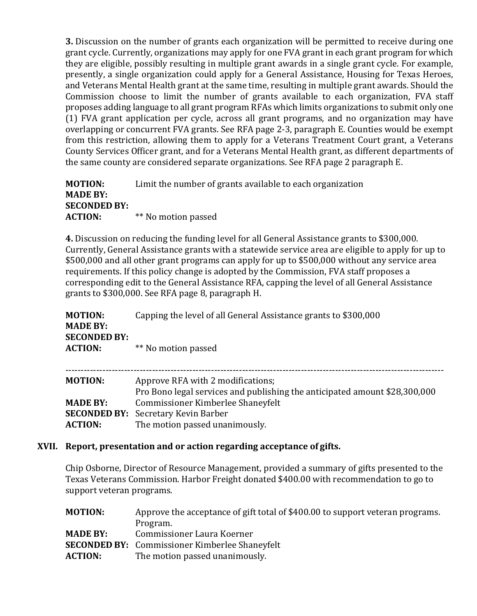**3.** Discussion on the number of grants each organization will be permitted to receive during one grant cycle. Currently, organizations may apply for one FVA grant in each grant program for which they are eligible, possibly resulting in multiple grant awards in a single grant cycle. For example, presently, a single organization could apply for a General Assistance, Housing for Texas Heroes, and Veterans Mental Health grant at the same time, resulting in multiple grant awards. Should the Commission choose to limit the number of grants available to each organization, FVA staff proposes adding language to all grant program RFAs which limits organizations to submit only one (1) FVA grant application per cycle, across all grant programs, and no organization may have overlapping or concurrent FVA grants. See RFA page 2-3, paragraph E. Counties would be exempt from this restriction, allowing them to apply for a Veterans Treatment Court grant, a Veterans County Services Officer grant, and for a Veterans Mental Health grant, as different departments of the same county are considered separate organizations. See RFA page 2 paragraph E.

**MOTION:** Limit the number of grants available to each organization **MADE BY: SECONDED BY: ACTION:** \*\* No motion passed

**4.** Discussion on reducing the funding level for all General Assistance grants to \$300,000. Currently, General Assistance grants with a statewide service area are eligible to apply for up to \$500,000 and all other grant programs can apply for up to \$500,000 without any service area requirements. If this policy change is adopted by the Commission, FVA staff proposes a corresponding edit to the General Assistance RFA, capping the level of all General Assistance grants to \$300,000. See RFA page 8, paragraph H.

| <b>MOTION:</b><br><b>MADE BY:</b>     | Capping the level of all General Assistance grants to \$300,000                                                 |
|---------------------------------------|-----------------------------------------------------------------------------------------------------------------|
| <b>SECONDED BY:</b><br><b>ACTION:</b> | ** No motion passed                                                                                             |
| <b>MOTION:</b>                        | Approve RFA with 2 modifications;<br>Pro Bono legal services and publishing the anticipated amount \$28,300,000 |
| <b>MADE BY:</b>                       | Commissioner Kimberlee Shaneyfelt                                                                               |
| <b>SECONDED BY:</b><br><b>ACTION:</b> | Secretary Kevin Barber<br>The motion passed unanimously.                                                        |

### **XVII. Report, presentation and or action regarding acceptance of gifts.**

Chip Osborne, Director of Resource Management, provided a summary of gifts presented to the Texas Veterans Commission. Harbor Freight donated \$400.00 with recommendation to go to support veteran programs.

| <b>MOTION:</b>  | Approve the acceptance of gift total of \$400.00 to support veteran programs. |
|-----------------|-------------------------------------------------------------------------------|
|                 | Program.                                                                      |
| <b>MADE BY:</b> | Commissioner Laura Koerner                                                    |
|                 | <b>SECONDED BY:</b> Commissioner Kimberlee Shaneyfelt                         |
| <b>ACTION:</b>  | The motion passed unanimously.                                                |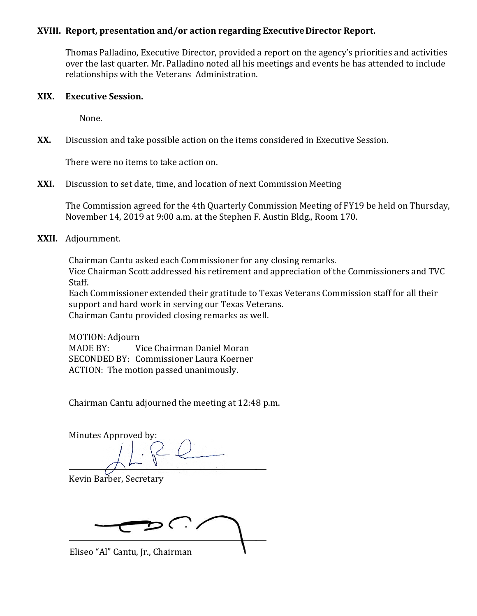#### **XVIII. Report, presentation and/or action regarding ExecutiveDirector Report.**

Thomas Palladino, Executive Director, provided a report on the agency's priorities and activities over the last quarter. Mr. Palladino noted all his meetings and events he has attended to include relationships with the Veterans Administration.

#### **XIX. Executive Session.**

None.

**XX.** Discussion and take possible action on the items considered in Executive Session.

There were no items to take action on.

#### **XXI.** Discussion to set date, time, and location of next Commission Meeting

The Commission agreed for the 4th Quarterly Commission Meeting of FY19 be held on Thursday, November 14, 2019 at 9:00 a.m. at the Stephen F. Austin Bldg., Room 170.

**XXII.** Adjournment.

Chairman Cantu asked each Commissioner for any closing remarks. Vice Chairman Scott addressed his retirement and appreciation of the Commissioners and TVC Staff.

Each Commissioner extended their gratitude to Texas Veterans Commission staff for all their support and hard work in serving our Texas Veterans. Chairman Cantu provided closing remarks as well.

MOTION: Adjourn<br>MADE BY: V Vice Chairman Daniel Moran SECONDED BY: Commissioner Laura Koerner ACTION: The motion passed unanimously.

Chairman Cantu adjourned the meeting at 12:48 p.m.

Minutes Approved by:

Kevin Barber, Secretary

 $\delta$  .  $\delta$ 

Eliseo "Al" Cantu, Jr., Chairman